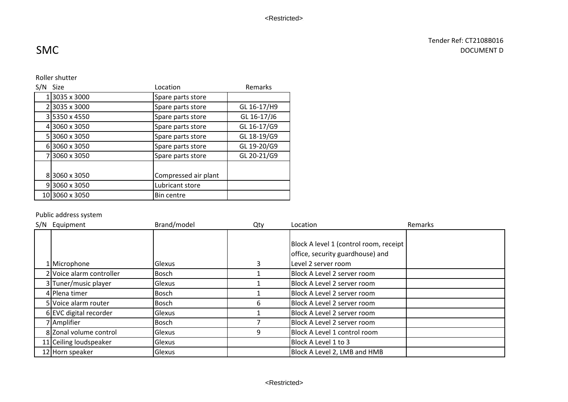## Tender Ref: CT2108B016 DOCUMENT D

# SMC

### Roller shutter

| S/N | <b>Size</b><br>Location           |                      | Remarks     |
|-----|-----------------------------------|----------------------|-------------|
|     | 3035 x 3000                       | Spare parts store    |             |
|     | 23035 x 3000                      | Spare parts store    | GL 16-17/H9 |
|     | 35350 x 4550                      | Spare parts store    | GL 16-17/J6 |
|     | 43060 x 3050                      | Spare parts store    | GL 16-17/G9 |
|     | 53060 x 3050<br>Spare parts store |                      | GL 18-19/G9 |
|     | 63060 x 3050                      | Spare parts store    | GL 19-20/G9 |
|     | 73060 x 3050                      | Spare parts store    | GL 20-21/G9 |
|     |                                   |                      |             |
|     | 83060 x 3050                      | Compressed air plant |             |
|     | 93060 x 3050                      | Lubricant store      |             |
|     | 103060 x 3050                     | <b>Bin centre</b>    |             |

## Public address system

| S/N | Equipment                | Brand/model  | Qty | Location                               | Remarks |
|-----|--------------------------|--------------|-----|----------------------------------------|---------|
|     |                          |              |     | Block A level 1 (control room, receipt |         |
|     |                          |              |     |                                        |         |
|     |                          |              |     | office, security guardhouse) and       |         |
|     | 1 Microphone             | lGlexus      | 3   | Level 2 server room                    |         |
|     | 2 Voice alarm controller | <b>Bosch</b> |     | Block A Level 2 server room            |         |
|     | 3 Tuner/music player     | Glexus       |     | Block A Level 2 server room            |         |
|     | 4 Plena timer            | <b>Bosch</b> |     | Block A Level 2 server room            |         |
|     | 5 Voice alarm router     | <b>Bosch</b> | 6   | Block A Level 2 server room            |         |
|     | 6 EVC digital recorder   | lGlexus      |     | Block A Level 2 server room            |         |
|     | 7 Amplifier              | Bosch        |     | Block A Level 2 server room            |         |
|     | 8 Zonal volume control   | lGlexus      | 9   | Block A Level 1 control room           |         |
|     | 11 Ceiling loudspeaker   | Glexus       |     | Block A Level 1 to 3                   |         |
|     | 12 Horn speaker          | lGlexus      |     | Block A Level 2, LMB and HMB           |         |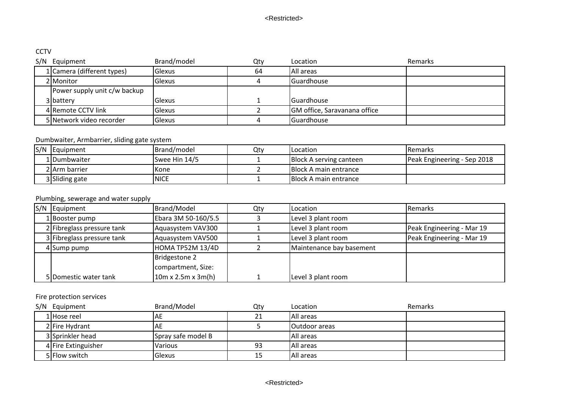# **CCTV**

| S/N | Equipment                    | Brand/model   | Qty | Location                            | Remarks |
|-----|------------------------------|---------------|-----|-------------------------------------|---------|
|     | 1 Camera (different types)   | <b>Glexus</b> | 64  | IAll areas                          |         |
|     | 2 Monitor                    | Glexus        |     | Guardhouse                          |         |
|     | Power supply unit c/w backup |               |     |                                     |         |
|     | 3 battery                    | Glexus        |     | Guardhouse                          |         |
|     | 4 Remote CCTV link           | <b>Glexus</b> |     | <b>GM</b> office, Saravanana office |         |
|     | 5 Network video recorder     | <b>Glexus</b> |     | Guardhouse                          |         |

## Dumbwaiter, Armbarrier, sliding gate system

| S/N | <b>IEquipment</b> | Brand/model   | Qty | Location                      | <b>IRemarks</b>             |
|-----|-------------------|---------------|-----|-------------------------------|-----------------------------|
|     | 1 Dumbwaiter      | Swee Hin 14/5 |     | Block A serving canteen       | Peak Engineering - Sep 2018 |
|     | 2 Arm barrier     | <b>I</b> Kone |     | Block A main entrance         |                             |
|     | 3 Sliding gate    | <b>INICE</b>  |     | <b>IBlock A main entrance</b> |                             |

# Plumbing, sewerage and water supply

| S/N Equipment              | Brand/Model                    | Qty | Location                 | Remarks                   |
|----------------------------|--------------------------------|-----|--------------------------|---------------------------|
| 1 Booster pump             | Ebara 3M 50-160/5.5            |     | Level 3 plant room       |                           |
| 2 Fibreglass pressure tank | Aquasystem VAV300              |     | Level 3 plant room       | Peak Engineering - Mar 19 |
| 3 Fibreglass pressure tank | Aquasystem VAV500              |     | Level 3 plant room       | Peak Engineering - Mar 19 |
| 4 Sump pump                | HOMA TP52M 13/4D               |     | Maintenance bay basement |                           |
|                            | Bridgestone 2                  |     |                          |                           |
|                            | compartment, Size:             |     |                          |                           |
| 5 Domestic water tank      | $10m \times 2.5m \times 3m(h)$ |     | Level 3 plant room       |                           |

### Fire protection services

| S/N | Equipment           | Brand/Model        | Qty | Location             | Remarks |
|-----|---------------------|--------------------|-----|----------------------|---------|
|     | 1 Hose reel         | IАE                | 21  | All areas            |         |
|     | 2 Fire Hydrant      | IAE                |     | <b>Outdoor</b> areas |         |
|     | 3 Sprinkler head    | Spray safe model B |     | All areas            |         |
|     | 4 Fire Extinguisher | <b>Various</b>     | 93  | All areas            |         |
|     | 5 Flow switch       | Glexus             | 15  | All areas            |         |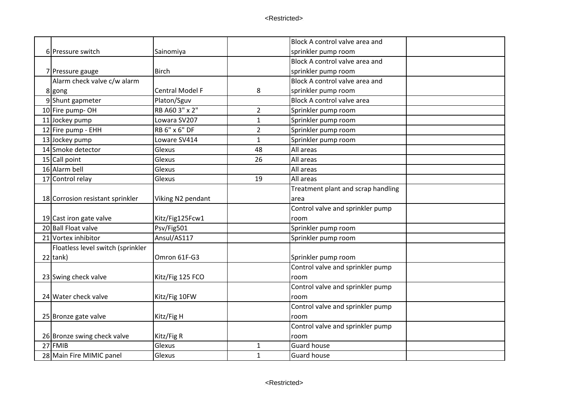|                                   |                        |                | Block A control valve area and     |  |
|-----------------------------------|------------------------|----------------|------------------------------------|--|
| 6 Pressure switch                 | Sainomiya              |                | sprinkler pump room                |  |
|                                   |                        |                | Block A control valve area and     |  |
| 7 Pressure gauge                  | <b>Birch</b>           |                | sprinkler pump room                |  |
| Alarm check valve c/w alarm       |                        |                | Block A control valve area and     |  |
| 8 gong                            | <b>Central Model F</b> | 8              | sprinkler pump room                |  |
| 9Shunt gapmeter                   | Platon/Sguv            |                | Block A control valve area         |  |
| 10 Fire pump-OH                   | RB A60 3" x 2"         | $\overline{2}$ | Sprinkler pump room                |  |
| 11 Jockey pump                    | Lowara SV207           | $\mathbf{1}$   | Sprinkler pump room                |  |
| 12 Fire pump - EHH                | <b>RB 6" x 6" DF</b>   | $\overline{2}$ | Sprinkler pump room                |  |
| 13 Jockey pump                    | Loware SV414           | $\mathbf{1}$   | Sprinkler pump room                |  |
| 14 Smoke detector                 | Glexus                 | 48             | All areas                          |  |
| 15 Call point                     | Glexus                 | 26             | All areas                          |  |
| 16 Alarm bell                     | Glexus                 |                | All areas                          |  |
| 17 Control relay                  | Glexus                 | 19             | All areas                          |  |
|                                   |                        |                | Treatment plant and scrap handling |  |
| 18 Corrosion resistant sprinkler  | Viking N2 pendant      |                | area                               |  |
|                                   |                        |                | Control valve and sprinkler pump   |  |
| 19 Cast iron gate valve           | Kitz/Fig125Fcw1        |                | room                               |  |
| 20 Ball Float valve               | Psv/Fig501             |                | Sprinkler pump room                |  |
| 21 Vortex inhibitor               | Ansul/AS117            |                | Sprinkler pump room                |  |
| Floatless level switch (sprinkler |                        |                |                                    |  |
| $22$ tank)                        | Omron 61F-G3           |                | Sprinkler pump room                |  |
|                                   |                        |                | Control valve and sprinkler pump   |  |
| 23 Swing check valve              | Kitz/Fig 125 FCO       |                | room                               |  |
|                                   |                        |                | Control valve and sprinkler pump   |  |
| 24 Water check valve              | Kitz/Fig 10FW          |                | room                               |  |
|                                   |                        |                | Control valve and sprinkler pump   |  |
| 25 Bronze gate valve              | Kitz/Fig H             |                | room                               |  |
|                                   |                        |                | Control valve and sprinkler pump   |  |
| 26 Bronze swing check valve       | Kitz/Fig R             |                | room                               |  |
| 27 FMIB                           | Glexus                 | 1              | <b>Guard house</b>                 |  |
| 28 Main Fire MIMIC panel          | Glexus                 | $\mathbf{1}$   | <b>Guard house</b>                 |  |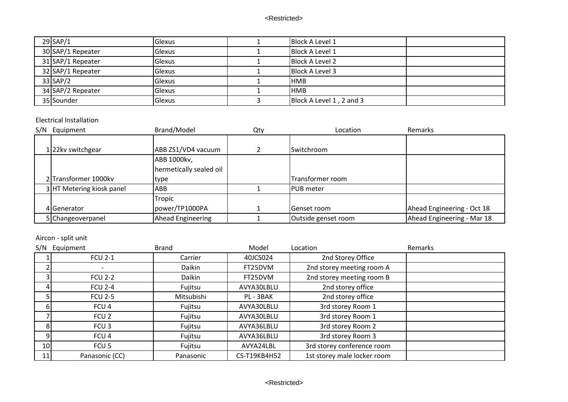| $29$ SAP/1        | Glexus | <b>Block A Level 1</b>   |  |
|-------------------|--------|--------------------------|--|
| 30 SAP/1 Repeater | Glexus | <b>Block A Level 1</b>   |  |
| 31 SAP/1 Repeater | Glexus | <b>Block A Level 2</b>   |  |
| 32 SAP/1 Repeater | Glexus | Block A Level 3          |  |
| $33$ SAP/2        | Glexus | <b>HMB</b>               |  |
| 34 SAP/2 Repeater | Glexus | <b>HMB</b>               |  |
| 35 Sounder        | Glexus | Block A Level 1, 2 and 3 |  |

#### Electrical Installation

| S/N | Equipment                    | Brand/Model             | Qty | Location            | Remarks                    |
|-----|------------------------------|-------------------------|-----|---------------------|----------------------------|
|     |                              |                         |     |                     |                            |
|     | 1 <sup>22kv</sup> switchgear | ABB ZS1/VD4 vacuum      |     | Switchroom          |                            |
|     |                              | ABB 1000kv,             |     |                     |                            |
|     |                              | hermetically sealed oil |     |                     |                            |
|     | 2 Transformer 1000kv         | type                    |     | Transformer room    |                            |
|     | 3 HT Metering kiosk panel    | ABB                     |     | <b>PUB</b> meter    |                            |
|     |                              | Tropic                  |     |                     |                            |
|     | 4 Generator                  | power/TP1000PA          |     | Genset room         | Ahead Engineering - Oct 18 |
|     | 5 Changeoverpanel            | Ahead Engineering       |     | Outside genset room | Ahead Engineering - Mar 18 |

## Aircon - split unit

| S/N             | Equipment        | <b>Brand</b> | Model        | Location                    | Remarks |
|-----------------|------------------|--------------|--------------|-----------------------------|---------|
|                 | <b>FCU 2-1</b>   | Carrier      | 40JCS024     | 2nd Storey Office           |         |
|                 |                  | Daikin       | FT25DVM      | 2nd storey meeting room A   |         |
|                 | <b>FCU 2-2</b>   | Daikin       | FT25DVM      | 2nd storey meeting room B   |         |
|                 | <b>FCU 2-4</b>   | Fujitsu      | AVYA30LBLU   | 2nd storey office           |         |
|                 | <b>FCU 2-5</b>   | Mitsubishi   | PL - 3BAK    | 2nd storey office           |         |
|                 | FCU <sub>4</sub> | Fujitsu      | AVYA30LBLU   | 3rd storey Room 1           |         |
|                 | FCU <sub>2</sub> | Fujitsu      | AVYA30LBLU   | 3rd storey Room 1           |         |
|                 | FCU <sub>3</sub> | Fujitsu      | AVYA36LBLU   | 3rd storey Room 2           |         |
| 9               | FCU <sub>4</sub> | Fujitsu      | AVYA36LBLU   | 3rd storey Room 3           |         |
| 10 <sub>l</sub> | FCU <sub>5</sub> | Fujitsu      | AVYA24LBL    | 3rd storey conference room  |         |
| 11              | Panasonic (CC)   | Panasonic    | CS-T19KB4H52 | 1st storey male locker room |         |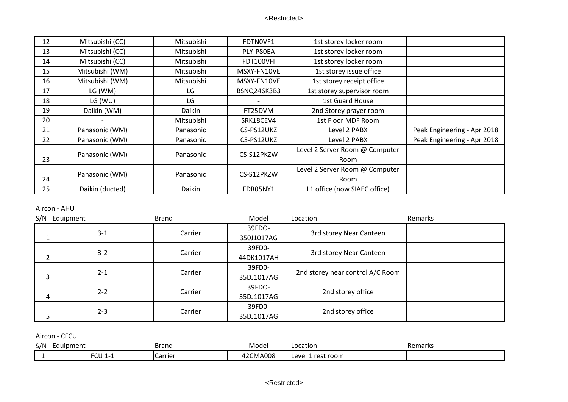| 12 | Mitsubishi (CC) | Mitsubishi | FDTN0VF1           | 1st storey locker room         |                             |
|----|-----------------|------------|--------------------|--------------------------------|-----------------------------|
| 13 | Mitsubishi (CC) | Mitsubishi | PLY-P80EA          | 1st storey locker room         |                             |
| 14 | Mitsubishi (CC) | Mitsubishi | FDT100VFI          | 1st storey locker room         |                             |
| 15 | Mitsubishi (WM) | Mitsubishi | MSXY-FN10VE        | 1st storey issue office        |                             |
| 16 | Mitsubishi (WM) | Mitsubishi | MSXY-FN10VE        | 1st storey receipt office      |                             |
| 17 | LG (WM)         | LG         | <b>BSNQ246K3B3</b> | 1st storey supervisor room     |                             |
| 18 | LG (WU)         | LG         |                    | <b>1st Guard House</b>         |                             |
| 19 | Daikin (WM)     | Daikin     | FT25DVM            | 2nd Storey prayer room         |                             |
| 20 |                 | Mitsubishi | SRK18CEV4          | 1st Floor MDF Room             |                             |
| 21 | Panasonic (WM)  | Panasonic  | CS-PS12UKZ         | Level 2 PABX                   | Peak Engineering - Apr 2018 |
| 22 | Panasonic (WM)  | Panasonic  | CS-PS12UKZ         | Level 2 PABX                   | Peak Engineering - Apr 2018 |
|    | Panasonic (WM)  | Panasonic  |                    | Level 2 Server Room @ Computer |                             |
| 23 |                 |            | CS-S12PKZW         | <b>Room</b>                    |                             |
|    | Panasonic (WM)  | Panasonic  | CS-S12PKZW         | Level 2 Server Room @ Computer |                             |
| 24 |                 |            |                    | Room                           |                             |
| 25 | Daikin (ducted) | Daikin     | FDR05NY1           | L1 office (now SIAEC office)   |                             |

Aircon - AHU

| S/N            | Equipment | <b>Brand</b>                    | Model      | Location                         | Remarks |
|----------------|-----------|---------------------------------|------------|----------------------------------|---------|
|                |           |                                 | 39FDO-     |                                  |         |
|                | $3 - 1$   | Carrier                         | 350J1017AG | 3rd storey Near Canteen          |         |
|                | $3 - 2$   | Carrier                         | 39FD0-     | 3rd storey Near Canteen          |         |
|                |           |                                 | 44DK1017AH |                                  |         |
|                | $2 - 1$   | Carrier                         | 39FD0-     |                                  |         |
| 3 <sup>1</sup> |           |                                 | 35DJ1017AG | 2nd storey near control A/C Room |         |
|                | $2 - 2$   | Carrier                         | 39FDO-     |                                  |         |
| 4              |           | 2nd storey office<br>35DJ1017AG |            |                                  |         |
|                |           |                                 | 39FD0-     |                                  |         |
|                | $2 - 3$   | Carrier                         | 35DJ1017AG | 2nd storey office                |         |

Aircon - CFCU

| S/N | Equipment | Brand               | Mode                                              | ∟ocation          | Remarks |
|-----|-----------|---------------------|---------------------------------------------------|-------------------|---------|
|     | FCU 1     | Carrie <sup>®</sup> | <b>CMA008</b><br>$\Delta$ 2 $\Gamma$ <sup>*</sup> | rest room<br>AVAL |         |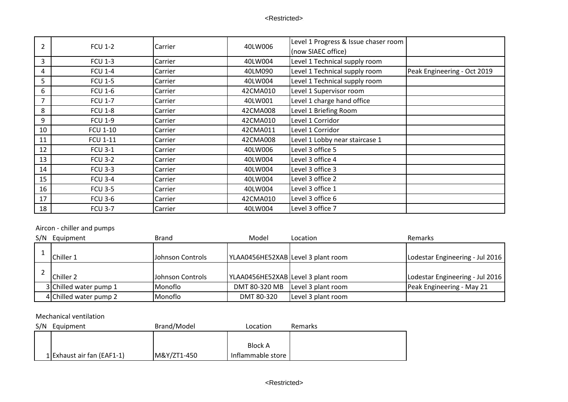| $\overline{2}$ | <b>FCU 1-2</b>  | Carrier | 40LW006  | Level 1 Progress & Issue chaser room |                             |
|----------------|-----------------|---------|----------|--------------------------------------|-----------------------------|
|                |                 |         |          | (now SIAEC office)                   |                             |
| 3              | <b>FCU 1-3</b>  | Carrier | 40LW004  | Level 1 Technical supply room        |                             |
| 4              | <b>FCU 1-4</b>  | Carrier | 40LM090  | Level 1 Technical supply room        | Peak Engineering - Oct 2019 |
| 5              | <b>FCU 1-5</b>  | Carrier | 40LW004  | Level 1 Technical supply room        |                             |
| 6              | <b>FCU 1-6</b>  | Carrier | 42CMA010 | Level 1 Supervisor room              |                             |
| 7              | <b>FCU 1-7</b>  | Carrier | 40LW001  | Level 1 charge hand office           |                             |
| 8              | <b>FCU 1-8</b>  | Carrier | 42CMA008 | Level 1 Briefing Room                |                             |
| 9              | <b>FCU 1-9</b>  | Carrier | 42CMA010 | Level 1 Corridor                     |                             |
| 10             | <b>FCU 1-10</b> | Carrier | 42CMA011 | Level 1 Corridor                     |                             |
| 11             | <b>FCU 1-11</b> | Carrier | 42CMA008 | Level 1 Lobby near staircase 1       |                             |
| 12             | <b>FCU 3-1</b>  | Carrier | 40LW006  | Level 3 office 5                     |                             |
| 13             | <b>FCU 3-2</b>  | Carrier | 40LW004  | Level 3 office 4                     |                             |
| 14             | <b>FCU 3-3</b>  | Carrier | 40LW004  | Level 3 office 3                     |                             |
| 15             | <b>FCU 3-4</b>  | Carrier | 40LW004  | Level 3 office 2                     |                             |
| 16             | <b>FCU 3-5</b>  | Carrier | 40LW004  | Level 3 office 1                     |                             |
| 17             | <b>FCU 3-6</b>  | Carrier | 42CMA010 | Level 3 office 6                     |                             |
| 18             | <b>FCU 3-7</b>  | Carrier | 40LW004  | Level 3 office 7                     |                             |

# Aircon - chiller and pumps

| S/N | Equipment              | <b>Brand</b>            | Model                              | Location           | Remarks                         |
|-----|------------------------|-------------------------|------------------------------------|--------------------|---------------------------------|
|     | Chiller 1              | <b>Johnson Controls</b> | YLAA0456HE52XAB Level 3 plant room |                    | Lodestar Engineering - Jul 2016 |
|     | Chiller 2              | Johnson Controls        | YLAA0456HE52XAB Level 3 plant room |                    | Lodestar Engineering - Jul 2016 |
|     | 3 Chilled water pump 1 | Monoflo                 | DMT 80-320 MB                      | Level 3 plant room | Peak Engineering - May 21       |
|     | 4 Chilled water pump 2 | Monoflo                 | DMT 80-320                         | Level 3 plant room |                                 |

#### Mechanical ventilation

| S/N | Equipment                  | Brand/Model | Location          | Remarks |
|-----|----------------------------|-------------|-------------------|---------|
|     |                            |             |                   |         |
|     |                            |             | <b>Block A</b>    |         |
|     | 1 Exhaust air fan (EAF1-1) | M&Y/ZT1-450 | Inflammable store |         |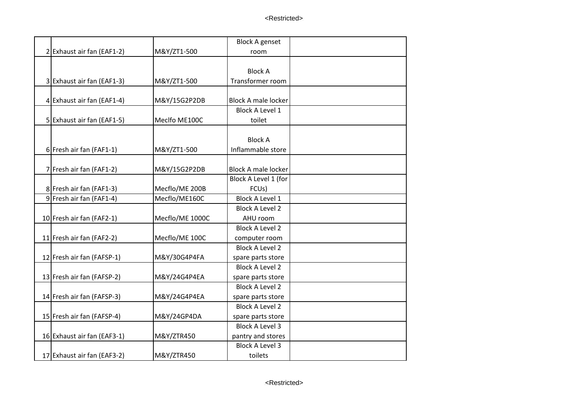|                             |                 | <b>Block A genset</b>      |  |
|-----------------------------|-----------------|----------------------------|--|
| 2 Exhaust air fan (EAF1-2)  | M&Y/ZT1-500     | room                       |  |
|                             |                 |                            |  |
|                             |                 | <b>Block A</b>             |  |
| 3 Exhaust air fan (EAF1-3)  | M&Y/ZT1-500     | Transformer room           |  |
|                             |                 |                            |  |
| 4 Exhaust air fan (EAF1-4)  | M&Y/15G2P2DB    | <b>Block A male locker</b> |  |
|                             |                 | <b>Block A Level 1</b>     |  |
| 5 Exhaust air fan (EAF1-5)  | Meclfo ME100C   | toilet                     |  |
|                             |                 |                            |  |
|                             |                 | <b>Block A</b>             |  |
| 6 Fresh air fan (FAF1-1)    | M&Y/ZT1-500     | Inflammable store          |  |
|                             |                 |                            |  |
| 7 Fresh air fan (FAF1-2)    | M&Y/15G2P2DB    | <b>Block A male locker</b> |  |
|                             |                 | Block A Level 1 (for       |  |
| 8 Fresh air fan (FAF1-3)    | Mecflo/ME 200B  | FCU <sub>s</sub> )         |  |
| 9 Fresh air fan (FAF1-4)    | Mecflo/ME160C   | <b>Block A Level 1</b>     |  |
|                             |                 | <b>Block A Level 2</b>     |  |
| 10 Fresh air fan (FAF2-1)   | Mecflo/ME 1000C | AHU room                   |  |
|                             |                 | <b>Block A Level 2</b>     |  |
| 11 Fresh air fan (FAF2-2)   | Mecflo/ME 100C  | computer room              |  |
|                             |                 | <b>Block A Level 2</b>     |  |
| 12 Fresh air fan (FAFSP-1)  | M&Y/30G4P4FA    | spare parts store          |  |
|                             |                 | <b>Block A Level 2</b>     |  |
| 13 Fresh air fan (FAFSP-2)  | M&Y/24G4P4EA    | spare parts store          |  |
|                             |                 | <b>Block A Level 2</b>     |  |
| 14 Fresh air fan (FAFSP-3)  | M&Y/24G4P4EA    | spare parts store          |  |
|                             |                 | <b>Block A Level 2</b>     |  |
| 15 Fresh air fan (FAFSP-4)  | M&Y/24GP4DA     | spare parts store          |  |
|                             |                 | <b>Block A Level 3</b>     |  |
| 16 Exhaust air fan (EAF3-1) | M&Y/ZTR450      | pantry and stores          |  |
|                             |                 | <b>Block A Level 3</b>     |  |
| 17 Exhaust air fan (EAF3-2) | M&Y/ZTR450      | toilets                    |  |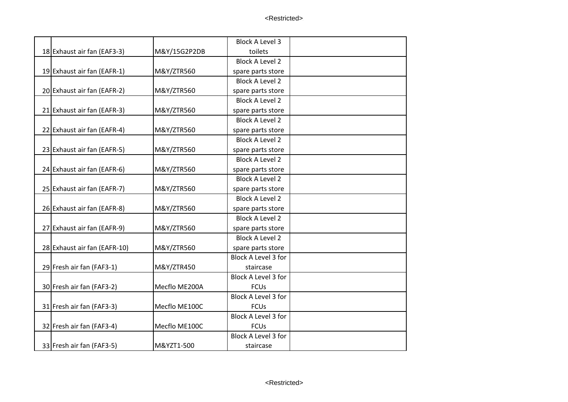|                              |               | <b>Block A Level 3</b> |  |
|------------------------------|---------------|------------------------|--|
| 18 Exhaust air fan (EAF3-3)  | M&Y/15G2P2DB  | toilets                |  |
|                              |               | <b>Block A Level 2</b> |  |
| 19 Exhaust air fan (EAFR-1)  | M&Y/ZTR560    | spare parts store      |  |
|                              |               | <b>Block A Level 2</b> |  |
| 20 Exhaust air fan (EAFR-2)  | M&Y/ZTR560    | spare parts store      |  |
|                              |               | <b>Block A Level 2</b> |  |
| 21 Exhaust air fan (EAFR-3)  | M&Y/ZTR560    | spare parts store      |  |
|                              |               | <b>Block A Level 2</b> |  |
| 22 Exhaust air fan (EAFR-4)  | M&Y/ZTR560    | spare parts store      |  |
|                              |               | <b>Block A Level 2</b> |  |
| 23 Exhaust air fan (EAFR-5)  | M&Y/ZTR560    | spare parts store      |  |
|                              |               | <b>Block A Level 2</b> |  |
| 24 Exhaust air fan (EAFR-6)  | M&Y/ZTR560    | spare parts store      |  |
|                              |               | <b>Block A Level 2</b> |  |
| 25 Exhaust air fan (EAFR-7)  | M&Y/ZTR560    | spare parts store      |  |
|                              |               | <b>Block A Level 2</b> |  |
| 26 Exhaust air fan (EAFR-8)  | M&Y/ZTR560    | spare parts store      |  |
|                              |               | <b>Block A Level 2</b> |  |
| 27 Exhaust air fan (EAFR-9)  | M&Y/ZTR560    | spare parts store      |  |
|                              |               | <b>Block A Level 2</b> |  |
| 28 Exhaust air fan (EAFR-10) | M&Y/ZTR560    | spare parts store      |  |
|                              |               | Block A Level 3 for    |  |
| 29 Fresh air fan (FAF3-1)    | M&Y/ZTR450    | staircase              |  |
|                              |               | Block A Level 3 for    |  |
| 30 Fresh air fan (FAF3-2)    | Mecflo ME200A | <b>FCUs</b>            |  |
|                              |               | Block A Level 3 for    |  |
| 31 Fresh air fan (FAF3-3)    | Mecflo ME100C | <b>FCUs</b>            |  |
|                              |               | Block A Level 3 for    |  |
| 32 Fresh air fan (FAF3-4)    | Mecflo ME100C | <b>FCUs</b>            |  |
|                              |               | Block A Level 3 for    |  |
| 33 Fresh air fan (FAF3-5)    | M&YZT1-500    | staircase              |  |